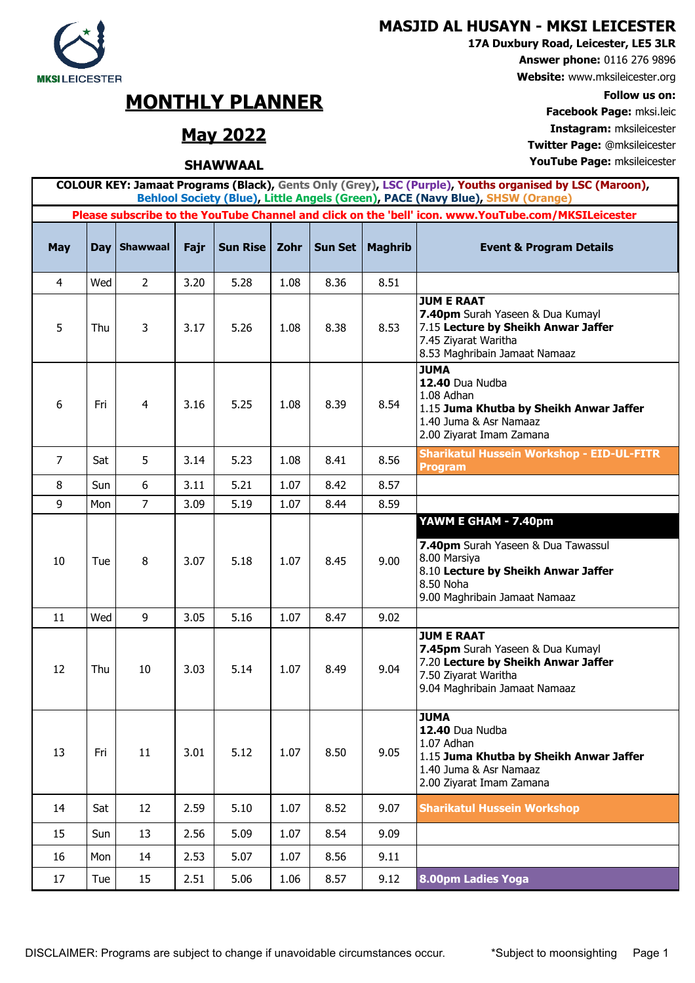

**17A Duxbury Road, Leicester, LE5 3LR**

**Answer phone:** 0116 276 9896

**Website:** www.mksileicester.org

**Facebook Page:** mksi.leic **May 2022 Instagram:** mksileicester **Twitter Page:** @mksileicester

DISCLAIMER: Programs are subject to change if unavoidable circumstances occur. \* Subject to moonsighting Page 1

17 Tue 15 2.51 5.06 1.06 8.57 9.12 **8.00pm Ladies Yoga**

| $\overline{4}$ | Wed | $\overline{2}$ | 3.20 | 5.28 | 1.08 | 8.36 | 8.51 |                                                                                                                                                                 |
|----------------|-----|----------------|------|------|------|------|------|-----------------------------------------------------------------------------------------------------------------------------------------------------------------|
| 5              | Thu | 3              | 3.17 | 5.26 | 1.08 | 8.38 | 8.53 | <b>JUM E RAAT</b><br>7.40pm Surah Yaseen & Dua Kumayl<br>7.15 Lecture by Sheikh Anwar Jaffer<br>7.45 Ziyarat Waritha<br>8.53 Maghribain Jamaat Namaaz           |
| 6              | Fri | 4              | 3.16 | 5.25 | 1.08 | 8.39 | 8.54 | <b>JUMA</b><br>12.40 Dua Nudba<br>1.08 Adhan<br>1.15 Juma Khutba by Sheikh Anwar Jaffer<br>1.40 Juma & Asr Namaaz<br>2.00 Ziyarat Imam Zamana                   |
| 7              | Sat | 5              | 3.14 | 5.23 | 1.08 | 8.41 | 8.56 | <b>Sharikatul Hussein Workshop - EID-UL-FITR</b><br><b>Program</b>                                                                                              |
| 8              | Sun | 6              | 3.11 | 5.21 | 1.07 | 8.42 | 8.57 |                                                                                                                                                                 |
| 9              | Mon | $\overline{7}$ | 3.09 | 5.19 | 1.07 | 8.44 | 8.59 |                                                                                                                                                                 |
| 10             | Tue | 8              | 3.07 | 5.18 | 1.07 | 8.45 | 9.00 | YAWM E GHAM - 7.40pm<br>7.40pm Surah Yaseen & Dua Tawassul<br>8.00 Marsiya<br>8.10 Lecture by Sheikh Anwar Jaffer<br>8.50 Noha<br>9.00 Maghribain Jamaat Namaaz |
| 11             | Wed | 9              | 3.05 | 5.16 | 1.07 | 8.47 | 9.02 |                                                                                                                                                                 |
| 12             | Thu | 10             | 3.03 | 5.14 | 1.07 | 8.49 | 9.04 | <b>JUM E RAAT</b><br>7.45pm Surah Yaseen & Dua Kumayl<br>7.20 Lecture by Sheikh Anwar Jaffer<br>7.50 Ziyarat Waritha<br>9.04 Maghribain Jamaat Namaaz           |
| 13             | Fri | 11             | 3.01 | 5.12 | 1.07 | 8.50 | 9.05 | <b>JUMA</b><br>12.40 Dua Nudba<br>1.07 Adhan<br>1.15 Juma Khutba by Sheikh Anwar Jaffer<br>1.40 Juma & Asr Namaaz<br>2.00 Ziyarat Imam Zamana                   |
| 14             | Sat | 12             | 2.59 | 5.10 | 1.07 | 8.52 | 9.07 | <b>Sharikatul Hussein Workshop</b>                                                                                                                              |
| 15             | Sun | 13             | 2.56 | 5.09 | 1.07 | 8.54 | 9.09 |                                                                                                                                                                 |
| 16             | Mon | 14             | 2.53 | 5.07 | 1.07 | 8.56 | 9.11 |                                                                                                                                                                 |
|                |     |                |      |      |      |      |      |                                                                                                                                                                 |

**COLOUR KEY: Jamaat Programs (Black), Gents Only (Grey), LSC (Purple), Youths organised by LSC (Maroon), Behlool Society (Blue), Little Angels (Green), PACE (Navy Blue), SHSW (Orange) Please subscribe to the YouTube Channel and click on the 'bell' icon. www.YouTube.com/MKSILeicester**

**May Day Shawwaal Fajr Sun Rise Zohr Sun Set Maghrib Event & Program Details**

## **MONTHLY PLANNER Follow us on:**

## **SHAWWAAL YouTube Page:** mksileicester